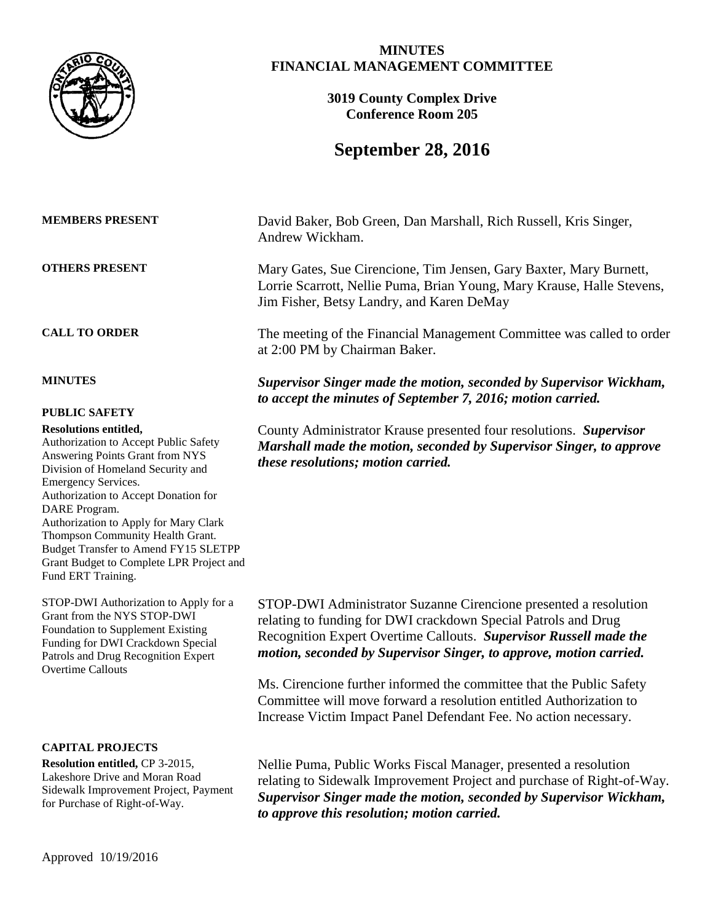

| <b>MEMBERS PRESENT</b> |  |
|------------------------|--|
| <b>OTHERS PRESENT</b>  |  |

## **PUBLIC SAFETY**

#### **Resolutions entitled,**

Authorization to Accept Public Safety Answering Points Grant from NYS Division of Homeland Security and Emergency Services. Authorization to Accept Donation for DARE Program. Authorization to Apply for Mary Clark Thompson Community Health Grant. Budget Transfer to Amend FY15 SLETPP Grant Budget to Complete LPR Project and Fund ERT Training.

STOP-DWI Authorization to Apply for a Grant from the NYS STOP-DWI Foundation to Supplement Existing Funding for DWI Crackdown Special Patrols and Drug Recognition Expert Overtime Callouts

## **CAPITAL PROJECTS**

**Resolution entitled,** CP 3-2015, Lakeshore Drive and Moran Road Sidewalk Improvement Project, Payment for Purchase of Right-of-Way.

## **MINUTES FINANCIAL MANAGEMENT COMMITTEE**

**3019 County Complex Drive Conference Room 205**

# **September 28, 2016**

David Baker, Bob Green, Dan Marshall, Rich Russell, Kris Singer, Andrew Wickham.

Mary Gates, Sue Cirencione, Tim Jensen, Gary Baxter, Mary Burnett, Lorrie Scarrott, Nellie Puma, Brian Young, Mary Krause, Halle Stevens, Jim Fisher, Betsy Landry, and Karen DeMay

**CALL TO ORDER** The meeting of the Financial Management Committee was called to order at 2:00 PM by Chairman Baker.

**MINUTES** *Supervisor Singer made the motion, seconded by Supervisor Wickham, to accept the minutes of September 7, 2016; motion carried.*

> County Administrator Krause presented four resolutions. *Supervisor Marshall made the motion, seconded by Supervisor Singer, to approve these resolutions; motion carried.*

STOP-DWI Administrator Suzanne Cirencione presented a resolution relating to funding for DWI crackdown Special Patrols and Drug Recognition Expert Overtime Callouts. *Supervisor Russell made the motion, seconded by Supervisor Singer, to approve, motion carried.*

Ms. Cirencione further informed the committee that the Public Safety Committee will move forward a resolution entitled Authorization to Increase Victim Impact Panel Defendant Fee. No action necessary.

Nellie Puma, Public Works Fiscal Manager, presented a resolution relating to Sidewalk Improvement Project and purchase of Right-of-Way. *Supervisor Singer made the motion, seconded by Supervisor Wickham, to approve this resolution; motion carried.*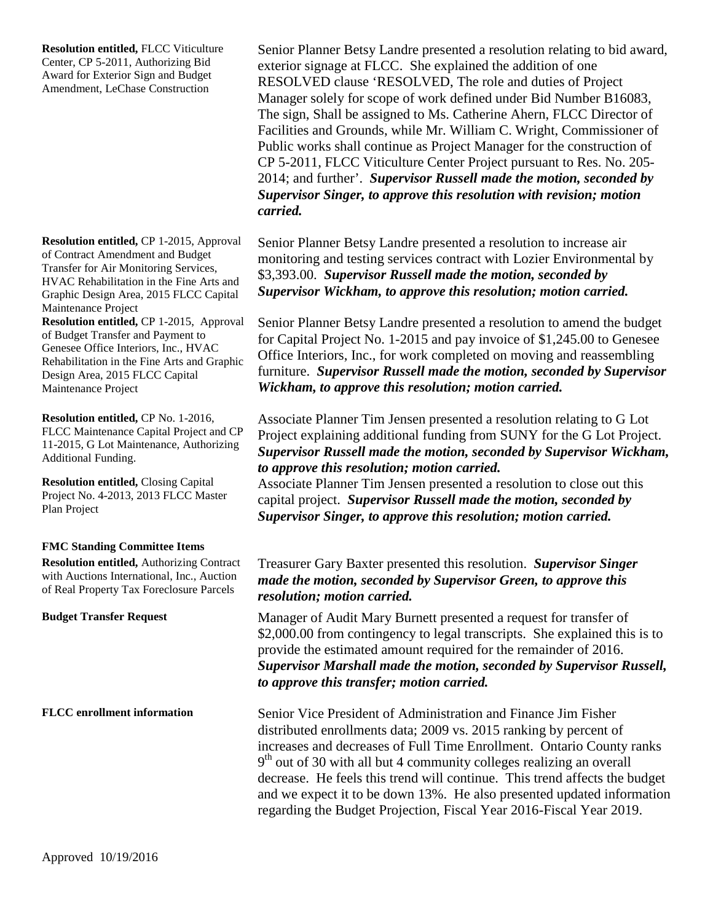**Resolution entitled,** FLCC Viticulture Center, CP 5-2011, Authorizing Bid Award for Exterior Sign and Budget Amendment, LeChase Construction

**Resolution entitled,** CP 1-2015, Approval of Contract Amendment and Budget Transfer for Air Monitoring Services, HVAC Rehabilitation in the Fine Arts and Graphic Design Area, 2015 FLCC Capital Maintenance Project

**Resolution entitled,** CP 1-2015, Approval of Budget Transfer and Payment to Genesee Office Interiors, Inc., HVAC Rehabilitation in the Fine Arts and Graphic Design Area, 2015 FLCC Capital Maintenance Project

**Resolution entitled,** CP No. 1-2016, FLCC Maintenance Capital Project and CP 11-2015, G Lot Maintenance, Authorizing Additional Funding.

**Resolution entitled,** Closing Capital Project No. 4-2013, 2013 FLCC Master Plan Project

## **FMC Standing Committee Items**

**Resolution entitled,** Authorizing Contract with Auctions International, Inc., Auction of Real Property Tax Foreclosure Parcels

Senior Planner Betsy Landre presented a resolution relating to bid award, exterior signage at FLCC. She explained the addition of one RESOLVED clause 'RESOLVED, The role and duties of Project Manager solely for scope of work defined under Bid Number B16083, The sign, Shall be assigned to Ms. Catherine Ahern, FLCC Director of Facilities and Grounds, while Mr. William C. Wright, Commissioner of Public works shall continue as Project Manager for the construction of CP 5-2011, FLCC Viticulture Center Project pursuant to Res. No. 205- 2014; and further'. *Supervisor Russell made the motion, seconded by Supervisor Singer, to approve this resolution with revision; motion carried.*

Senior Planner Betsy Landre presented a resolution to increase air monitoring and testing services contract with Lozier Environmental by \$3,393.00. *Supervisor Russell made the motion, seconded by Supervisor Wickham, to approve this resolution; motion carried.*

Senior Planner Betsy Landre presented a resolution to amend the budget for Capital Project No. 1-2015 and pay invoice of \$1,245.00 to Genesee Office Interiors, Inc., for work completed on moving and reassembling furniture. *Supervisor Russell made the motion, seconded by Supervisor Wickham, to approve this resolution; motion carried.*

Associate Planner Tim Jensen presented a resolution relating to G Lot Project explaining additional funding from SUNY for the G Lot Project. *Supervisor Russell made the motion, seconded by Supervisor Wickham, to approve this resolution; motion carried.*

Associate Planner Tim Jensen presented a resolution to close out this capital project. *Supervisor Russell made the motion, seconded by Supervisor Singer, to approve this resolution; motion carried.*

## Treasurer Gary Baxter presented this resolution. *Supervisor Singer made the motion, seconded by Supervisor Green, to approve this resolution; motion carried.*

**Budget Transfer Request** Manager of Audit Mary Burnett presented a request for transfer of \$2,000.00 from contingency to legal transcripts. She explained this is to provide the estimated amount required for the remainder of 2016. *Supervisor Marshall made the motion, seconded by Supervisor Russell, to approve this transfer; motion carried.*

**FLCC enrollment information** Senior Vice President of Administration and Finance Jim Fisher distributed enrollments data; 2009 vs. 2015 ranking by percent of increases and decreases of Full Time Enrollment. Ontario County ranks  $9<sup>th</sup>$  out of 30 with all but 4 community colleges realizing an overall decrease. He feels this trend will continue. This trend affects the budget and we expect it to be down 13%. He also presented updated information regarding the Budget Projection, Fiscal Year 2016-Fiscal Year 2019.